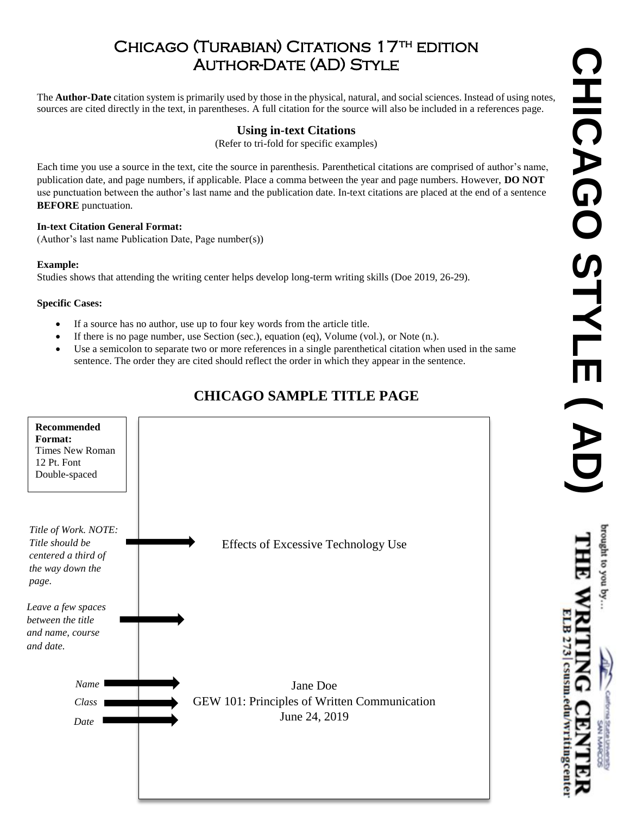# CHICAGO (TURABIAN) CITATIONS 17<sup>TH</sup> EDITION AUTHOR-DATE (AD) STYLE

The **Author-Date** citation system is primarily used by those in the physical, natural, and social sciences. Instead of using notes, sources are cited directly in the text, in parentheses. A full citation for the source will also be included in a references page.

### **Using in-text Citations**

(Refer to tri-fold for specific examples)

Each time you use a source in the text, cite the source in parenthesis. Parenthetical citations are comprised of author's name, publication date, and page numbers, if applicable. Place a comma between the year and page numbers. However, **DO NOT** use punctuation between the author's last name and the publication date. In-text citations are placed at the end of a sentence **BEFORE** punctuation.

#### **In-text Citation General Format:**

(Author's last name Publication Date, Page number(s))

#### **Example:**

Studies shows that attending the writing center helps develop long-term writing skills (Doe 2019, 26-29).

#### **Specific Cases:**

- If a source has no author, use up to four key words from the article title.
- If there is no page number, use Section (sec.), equation (eq), Volume (vol.), or Note (n.).
- Use a semicolon to separate two or more references in a single parenthetical citation when used in the same sentence. The order they are cited should reflect the order in which they appear in the sentence.

### **CHICAGO SAMPLE TITLE PAGE**